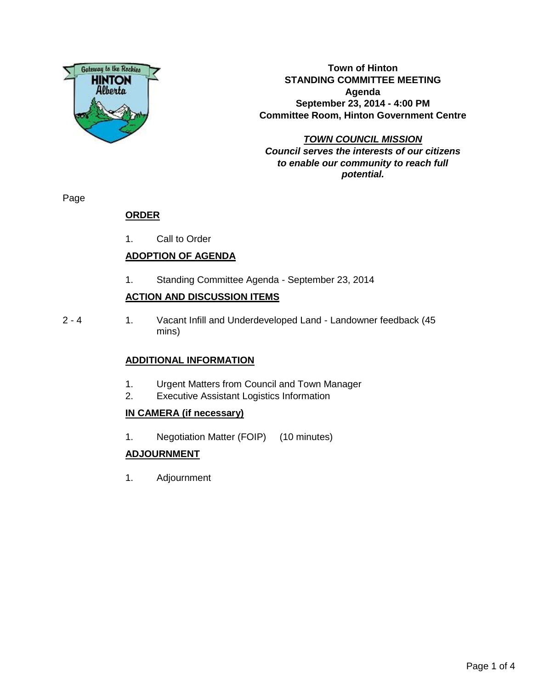

**Town of Hinton STANDING COMMITTEE MEETING Agenda September 23, 2014 - 4:00 PM Committee Room, Hinton Government Centre**

**TOWN COUNCIL MISSION Council serves the interests of our citizens to enable our community to reach full potential.**

Page

# **ORDER**

1. Call to Order

# **ADOPTION OF AGENDA**

1. Standing Committee Agenda - September 23, 2014

## **ACTION AND DISCUSSION ITEMS**

- 
- 2 4 1. Vacant Infill and Underdeveloped Land Landowner feedback (45 mins)

## **ADDITIONAL INFORMATION**

- 1. Urgent Matters from Council and Town Manager
- 2. Executive Assistant Logistics Information

## **IN CAMERA (if necessary)**

1. Negotiation Matter (FOIP) (10 minutes)

## **ADJOURNMENT**

1. Adjournment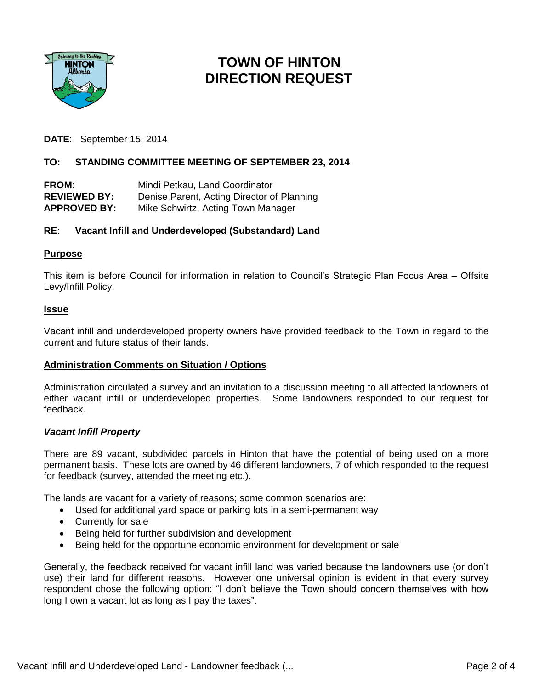

# **TOWN OF HINTON DIRECTION REQUEST**

**DATE**: September 15, 2014

## **TO: STANDING COMMITTEE MEETING OF SEPTEMBER 23, 2014**

| <b>FROM:</b>        | Mindi Petkau, Land Coordinator             |
|---------------------|--------------------------------------------|
| <b>REVIEWED BY:</b> | Denise Parent, Acting Director of Planning |
| <b>APPROVED BY:</b> | Mike Schwirtz, Acting Town Manager         |

## **RE**: **Vacant Infill and Underdeveloped (Substandard) Land**

#### **Purpose**

This item is before Council for information in relation to Council's Strategic Plan Focus Area – Offsite Levy/Infill Policy.

#### **Issue**

Vacant infill and underdeveloped property owners have provided feedback to the Town in regard to the current and future status of their lands.

## **Administration Comments on Situation / Options**

Administration circulated a survey and an invitation to a discussion meeting to all affected landowners of either vacant infill or underdeveloped properties. Some landowners responded to our request for feedback.

#### *Vacant Infill Property*

There are 89 vacant, subdivided parcels in Hinton that have the potential of being used on a more permanent basis. These lots are owned by 46 different landowners, 7 of which responded to the request for feedback (survey, attended the meeting etc.).

The lands are vacant for a variety of reasons; some common scenarios are:

- Used for additional yard space or parking lots in a semi-permanent way
- Currently for sale
- Being held for further subdivision and development
- Being held for the opportune economic environment for development or sale

Generally, the feedback received for vacant infill land was varied because the landowners use (or don't use) their land for different reasons. However one universal opinion is evident in that every survey respondent chose the following option: "I don't believe the Town should concern themselves with how long I own a vacant lot as long as I pay the taxes".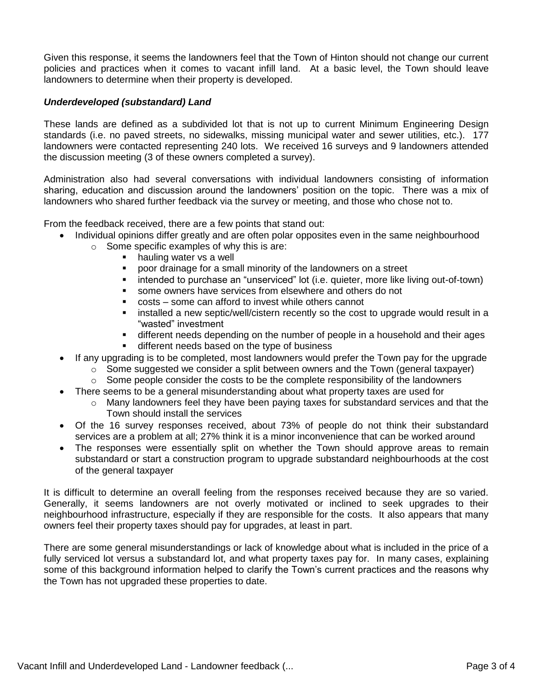Given this response, it seems the landowners feel that the Town of Hinton should not change our current policies and practices when it comes to vacant infill land. At a basic level, the Town should leave landowners to determine when their property is developed.

#### *Underdeveloped (substandard) Land*

These lands are defined as a subdivided lot that is not up to current Minimum Engineering Design standards (i.e. no paved streets, no sidewalks, missing municipal water and sewer utilities, etc.). 177 landowners were contacted representing 240 lots. We received 16 surveys and 9 landowners attended the discussion meeting (3 of these owners completed a survey).

Administration also had several conversations with individual landowners consisting of information sharing, education and discussion around the landowners' position on the topic. There was a mix of landowners who shared further feedback via the survey or meeting, and those who chose not to.

From the feedback received, there are a few points that stand out:

- Individual opinions differ greatly and are often polar opposites even in the same neighbourhood
	- o Some specific examples of why this is are:
		- **hauling water vs a well**
		- poor drainage for a small minority of the landowners on a street
		- **EXEDED FI** intended to purchase an "unserviced" lot (i.e. quieter, more like living out-of-town)
		- some owners have services from elsewhere and others do not
		- costs some can afford to invest while others cannot
		- **Example 3** installed a new septic/well/cistern recently so the cost to upgrade would result in a "wasted" investment
		- different needs depending on the number of people in a household and their ages
		- different needs based on the type of business
- If any upgrading is to be completed, most landowners would prefer the Town pay for the upgrade
	- $\circ$  Some suggested we consider a split between owners and the Town (general taxpayer)
	- $\circ$  Some people consider the costs to be the complete responsibility of the landowners
- There seems to be a general misunderstanding about what property taxes are used for
	- $\circ$  Many landowners feel they have been paying taxes for substandard services and that the Town should install the services
- Of the 16 survey responses received, about 73% of people do not think their substandard services are a problem at all; 27% think it is a minor inconvenience that can be worked around
- The responses were essentially split on whether the Town should approve areas to remain substandard or start a construction program to upgrade substandard neighbourhoods at the cost of the general taxpayer

It is difficult to determine an overall feeling from the responses received because they are so varied. Generally, it seems landowners are not overly motivated or inclined to seek upgrades to their neighbourhood infrastructure, especially if they are responsible for the costs. It also appears that many owners feel their property taxes should pay for upgrades, at least in part.

There are some general misunderstandings or lack of knowledge about what is included in the price of a fully serviced lot versus a substandard lot, and what property taxes pay for. In many cases, explaining some of this background information helped to clarify the Town's current practices and the reasons why the Town has not upgraded these properties to date.